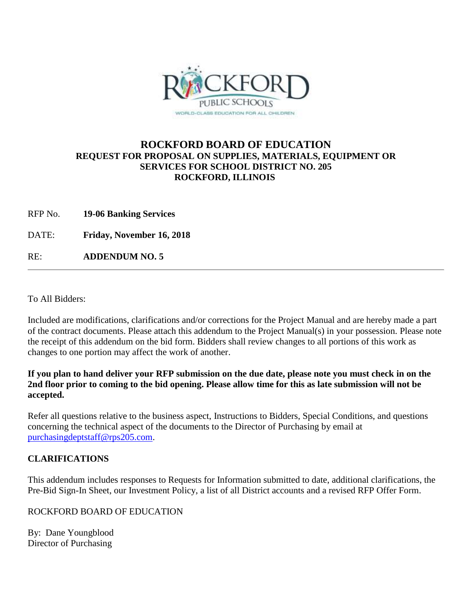

### **ROCKFORD BOARD OF EDUCATION REQUEST FOR PROPOSAL ON SUPPLIES, MATERIALS, EQUIPMENT OR SERVICES FOR SCHOOL DISTRICT NO. 205 ROCKFORD, ILLINOIS**

- RFP No. **19-06 Banking Services**
- DATE: **Friday, November 16, 2018**

RE: **ADDENDUM NO. 5**

To All Bidders:

Included are modifications, clarifications and/or corrections for the Project Manual and are hereby made a part of the contract documents. Please attach this addendum to the Project Manual(s) in your possession. Please note the receipt of this addendum on the bid form. Bidders shall review changes to all portions of this work as changes to one portion may affect the work of another.

### **If you plan to hand deliver your RFP submission on the due date, please note you must check in on the 2nd floor prior to coming to the bid opening. Please allow time for this as late submission will not be accepted.**

Refer all questions relative to the business aspect, Instructions to Bidders, Special Conditions, and questions concerning the technical aspect of the documents to the Director of Purchasing by email at [purchasingdeptstaff@rps205.com.](mailto:purchasingdeptstaff@rps205.com)

### **CLARIFICATIONS**

This addendum includes responses to Requests for Information submitted to date, additional clarifications, the Pre-Bid Sign-In Sheet, our Investment Policy, a list of all District accounts and a revised RFP Offer Form.

### ROCKFORD BOARD OF EDUCATION

By: Dane Youngblood Director of Purchasing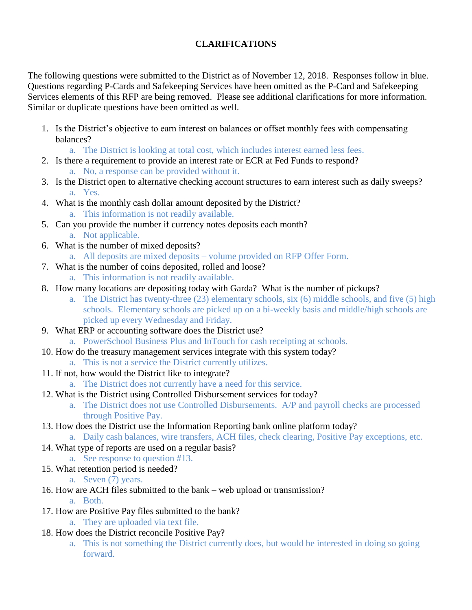### **CLARIFICATIONS**

The following questions were submitted to the District as of November 12, 2018. Responses follow in blue. Questions regarding P-Cards and Safekeeping Services have been omitted as the P-Card and Safekeeping Services elements of this RFP are being removed. Please see additional clarifications for more information. Similar or duplicate questions have been omitted as well.

1. Is the District's objective to earn interest on balances or offset monthly fees with compensating balances?

a. The District is looking at total cost, which includes interest earned less fees.

- 2. Is there a requirement to provide an interest rate or ECR at Fed Funds to respond? a. No, a response can be provided without it.
- 3. Is the District open to alternative checking account structures to earn interest such as daily sweeps? a. Yes.
- 4. What is the monthly cash dollar amount deposited by the District? a. This information is not readily available.
- 5. Can you provide the number if currency notes deposits each month? a. Not applicable.
- 6. What is the number of mixed deposits?
	- a. All deposits are mixed deposits volume provided on RFP Offer Form.
- 7. What is the number of coins deposited, rolled and loose?
	- a. This information is not readily available.
- 8. How many locations are depositing today with Garda? What is the number of pickups?
	- a. The District has twenty-three (23) elementary schools, six (6) middle schools, and five (5) high schools. Elementary schools are picked up on a bi-weekly basis and middle/high schools are picked up every Wednesday and Friday.
- 9. What ERP or accounting software does the District use?
	- a. PowerSchool Business Plus and InTouch for cash receipting at schools.
- 10. How do the treasury management services integrate with this system today?
	- a. This is not a service the District currently utilizes.
- 11. If not, how would the District like to integrate?
	- a. The District does not currently have a need for this service.
- 12. What is the District using Controlled Disbursement services for today?
	- a. The District does not use Controlled Disbursements. A/P and payroll checks are processed through Positive Pay.
- 13. How does the District use the Information Reporting bank online platform today?
	- a. Daily cash balances, wire transfers, ACH files, check clearing, Positive Pay exceptions, etc.
- 14. What type of reports are used on a regular basis?
	- a. See response to question #13.
- 15. What retention period is needed?

a. Seven (7) years.

- 16. How are ACH files submitted to the bank web upload or transmission?
	- a. Both.
- 17. How are Positive Pay files submitted to the bank?
	- a. They are uploaded via text file.
- 18. How does the District reconcile Positive Pay?
	- a. This is not something the District currently does, but would be interested in doing so going forward.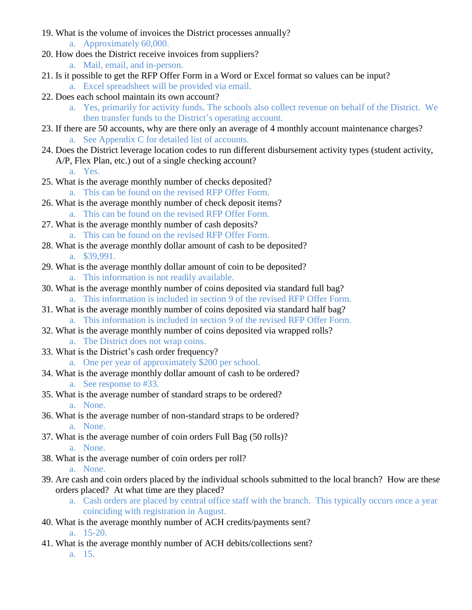- 19. What is the volume of invoices the District processes annually?
	- a. Approximately 60,000.
- 20. How does the District receive invoices from suppliers?
	- a. Mail, email, and in-person.
- 21. Is it possible to get the RFP Offer Form in a Word or Excel format so values can be input? a. Excel spreadsheet will be provided via email.
- 22. Does each school maintain its own account?
	- a. Yes, primarily for activity funds. The schools also collect revenue on behalf of the District. We then transfer funds to the District's operating account.
- 23. If there are 50 accounts, why are there only an average of 4 monthly account maintenance charges? a. See Appendix C for detailed list of accounts.
- 24. Does the District leverage location codes to run different disbursement activity types (student activity, A/P, Flex Plan, etc.) out of a single checking account?

a. Yes.

- 25. What is the average monthly number of checks deposited?
	- a. This can be found on the revised RFP Offer Form.
- 26. What is the average monthly number of check deposit items? a. This can be found on the revised RFP Offer Form.
- 27. What is the average monthly number of cash deposits?
	- a. This can be found on the revised RFP Offer Form.
- 28. What is the average monthly dollar amount of cash to be deposited? a. \$39,991.
- 29. What is the average monthly dollar amount of coin to be deposited? a. This information is not readily available.
- 30. What is the average monthly number of coins deposited via standard full bag? a. This information is included in section 9 of the revised RFP Offer Form.
- 31. What is the average monthly number of coins deposited via standard half bag? a. This information is included in section 9 of the revised RFP Offer Form.
- 32. What is the average monthly number of coins deposited via wrapped rolls? a. The District does not wrap coins.
- 33. What is the District's cash order frequency? a. One per year of approximately \$200 per school.
- 34. What is the average monthly dollar amount of cash to be ordered? a. See response to #33.
- 35. What is the average number of standard straps to be ordered? a. None.
- 36. What is the average number of non-standard straps to be ordered? a. None.
- 37. What is the average number of coin orders Full Bag (50 rolls)? a. None.
- 38. What is the average number of coin orders per roll?

a. None.

- 39. Are cash and coin orders placed by the individual schools submitted to the local branch? How are these orders placed? At what time are they placed?
	- a. Cash orders are placed by central office staff with the branch. This typically occurs once a year coinciding with registration in August.
- 40. What is the average monthly number of ACH credits/payments sent? a. 15-20.
- 41. What is the average monthly number of ACH debits/collections sent? a. 15.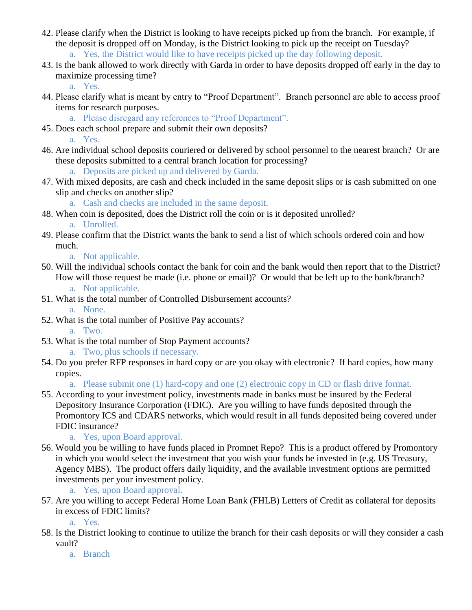- 42. Please clarify when the District is looking to have receipts picked up from the branch. For example, if the deposit is dropped off on Monday, is the District looking to pick up the receipt on Tuesday? a. Yes, the District would like to have receipts picked up the day following deposit.
- 43. Is the bank allowed to work directly with Garda in order to have deposits dropped off early in the day to maximize processing time?

a. Yes.

- 44. Please clarify what is meant by entry to "Proof Department". Branch personnel are able to access proof items for research purposes.
	- a. Please disregard any references to "Proof Department".
- 45. Does each school prepare and submit their own deposits?

a. Yes.

- 46. Are individual school deposits couriered or delivered by school personnel to the nearest branch? Or are these deposits submitted to a central branch location for processing?
	- a. Deposits are picked up and delivered by Garda.
- 47. With mixed deposits, are cash and check included in the same deposit slips or is cash submitted on one slip and checks on another slip?

a. Cash and checks are included in the same deposit.

- 48. When coin is deposited, does the District roll the coin or is it deposited unrolled? a. Unrolled.
- 49. Please confirm that the District wants the bank to send a list of which schools ordered coin and how much.

a. Not applicable.

- 50. Will the individual schools contact the bank for coin and the bank would then report that to the District? How will those request be made (i.e. phone or email)? Or would that be left up to the bank/branch? a. Not applicable.
- 51. What is the total number of Controlled Disbursement accounts?

a. None.

- 52. What is the total number of Positive Pay accounts? a. Two.
- 53. What is the total number of Stop Payment accounts?

a. Two, plus schools if necessary.

54. Do you prefer RFP responses in hard copy or are you okay with electronic? If hard copies, how many copies.

a. Please submit one (1) hard-copy and one (2) electronic copy in CD or flash drive format.

55. According to your investment policy, investments made in banks must be insured by the Federal Depository Insurance Corporation (FDIC). Are you willing to have funds deposited through the Promontory ICS and CDARS networks, which would result in all funds deposited being covered under FDIC insurance?

a. Yes, upon Board approval.

56. Would you be willing to have funds placed in Promnet Repo? This is a product offered by Promontory in which you would select the investment that you wish your funds be invested in (e.g. US Treasury, Agency MBS). The product offers daily liquidity, and the available investment options are permitted investments per your investment policy.

a. Yes, upon Board approval.

57. Are you willing to accept Federal Home Loan Bank (FHLB) Letters of Credit as collateral for deposits in excess of FDIC limits?

a. Yes.

58. Is the District looking to continue to utilize the branch for their cash deposits or will they consider a cash vault?

a. Branch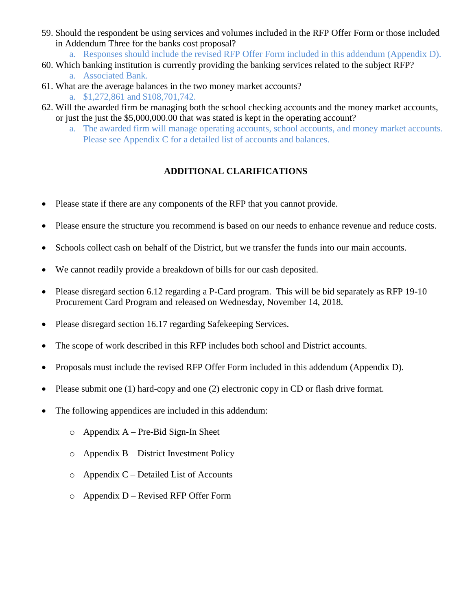- 59. Should the respondent be using services and volumes included in the RFP Offer Form or those included in Addendum Three for the banks cost proposal?
	- a. Responses should include the revised RFP Offer Form included in this addendum (Appendix D).
- 60. Which banking institution is currently providing the banking services related to the subject RFP? a. Associated Bank.
- 61. What are the average balances in the two money market accounts?
	- a. \$1,272,861 and \$108,701,742.
- 62. Will the awarded firm be managing both the school checking accounts and the money market accounts, or just the just the \$5,000,000.00 that was stated is kept in the operating account?
	- a. The awarded firm will manage operating accounts, school accounts, and money market accounts. Please see Appendix C for a detailed list of accounts and balances.

### **ADDITIONAL CLARIFICATIONS**

- Please state if there are any components of the RFP that you cannot provide.
- Please ensure the structure you recommend is based on our needs to enhance revenue and reduce costs.
- Schools collect cash on behalf of the District, but we transfer the funds into our main accounts.
- We cannot readily provide a breakdown of bills for our cash deposited.
- Please disregard section 6.12 regarding a P-Card program. This will be bid separately as RFP 19-10 Procurement Card Program and released on Wednesday, November 14, 2018.
- Please disregard section 16.17 regarding Safekeeping Services.
- The scope of work described in this RFP includes both school and District accounts.
- Proposals must include the revised RFP Offer Form included in this addendum (Appendix D).
- Please submit one (1) hard-copy and one (2) electronic copy in CD or flash drive format.
- The following appendices are included in this addendum:
	- $o$  Appendix A Pre-Bid Sign-In Sheet
	- o Appendix B District Investment Policy
	- $\circ$  Appendix C Detailed List of Accounts
	- $o$  Appendix D Revised RFP Offer Form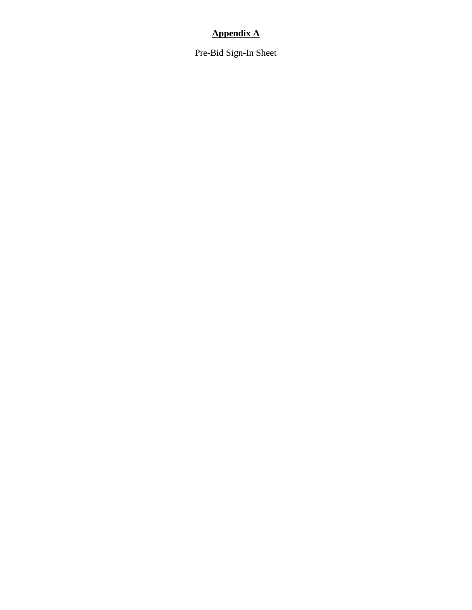### **Appendix A**

Pre-Bid Sign-In Sheet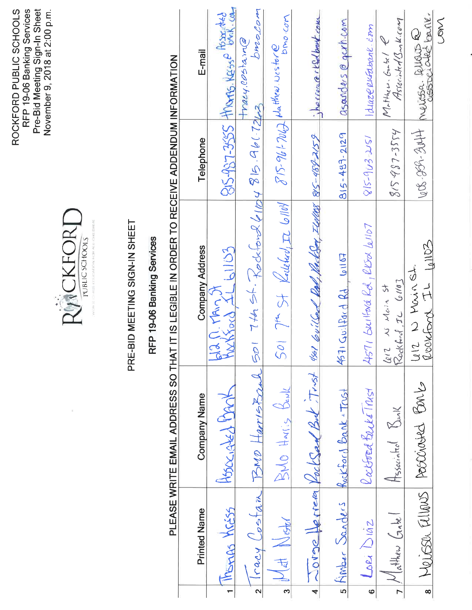ROCKFORD PUBLIC SCHOOLS<br>RFP 19-06 Banking Services<br>Pre-Bid Meeting Sign-In Sheet<br>November 9, 2018 at 2:00 p.m.



## PRE-BID MEETING SIGN-IN SHEET

### RFP 19-06 Banking Services

# PLEASE WRITE EMAIL ADDRESS SO THAT IT IS LEGIBLE IN ORDER TO RECEIVE ADDENDUM INFORMATION

|                          |                                        |                                |                                                                          | <u>これをはらしているということになる。</u> |                                              |
|--------------------------|----------------------------------------|--------------------------------|--------------------------------------------------------------------------|---------------------------|----------------------------------------------|
|                          | <b>Printed Name</b>                    | <b>Company Name</b>            | <b>Company Address</b>                                                   | Telephone                 | E-mail                                       |
|                          | Morras Kréss                           | Hosociated Mark                | plan. MAn 7                                                              |                           | 815-987-3555 HIVORIS, KESS P BOOK, COL       |
|                          |                                        | lracy Costan BMD HarrisBrah    | 50174656.70066104815.9617243                                             |                           | brocom<br>tracy.costain@                     |
| $\overline{\mathcal{E}}$ | Advertised                             | BMO HArris BENK                | $5017$ of St Kollehol, I 6/104                                           |                           | DMO.COM<br>$815-96+706$ de threu vostare     |
| $\overline{\mathbf{r}}$  |                                        | 20190 Jerrea Vocksan But Tinst | 4/301 60 (Level Red, VackSey, Ilallos 85-488-2159 ) becreed the back com |                           |                                              |
|                          | 5 Himber Sanders Rockford Bank - Trust |                                | 4571 Guilford Rd 61167                                                   | $815 - 487 - 2129$        | asanders @ garh.com                          |
| $\circ$                  | LORA DIAZ                              | Raibord BacksTrust             | 4571 builfard Rd, RESOR W1107                                            | 15-963251                 | Iduze enfabrue com                           |
|                          | 7 Mathew Gabel                         | Hssociated Ball                | Rocklerd, IL 6110]<br>$612$ N Main St                                    | $815487 - 3554$           | $M_r$ Hucu. Gabel $e$<br>Associaled Bank.com |
| $\overline{\bullet}$     |                                        | Neisse allows Poscovard Barb   | Letz Novinst                                                             |                           | 1006-859-3044 Merissa. Rubus R               |
|                          |                                        |                                |                                                                          |                           | $M_{\odot}$                                  |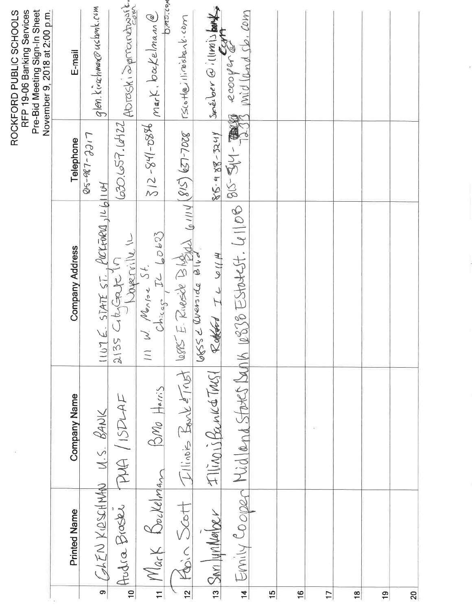|                      |                            |                           |                                                                                        |              | RFP 19-06 Banking Services<br>Pre-Bid Meeting Sign-In Sheet<br>November 9, 2018 at 2:00 p.m.<br>ROCKFORD PUBLIC SCHOOLS |
|----------------------|----------------------------|---------------------------|----------------------------------------------------------------------------------------|--------------|-------------------------------------------------------------------------------------------------------------------------|
|                      | <b>Printed Name</b>        | <b>Company Name</b>       | <b>Company Address</b>                                                                 | Telephone    | E-mail                                                                                                                  |
|                      |                            |                           |                                                                                        | LICC-180-513 |                                                                                                                         |
| $\overline{\bullet}$ | CAEN KIRSCHMAN U.S. BANK   |                           |                                                                                        |              | glen.kinchwan@usbunk.com                                                                                                |
| $\overline{P}$       |                            | Andra Braske PMA / ISDLAF | 1107 E. STATE ST. POCKFORD, 1L6/1104                                                   |              | 630.657.6422 ADTOSKi Sprandbusht.                                                                                       |
| $\overline{H}$       | Mark Bockelman             | $300$ Harris              | $W$ Nense St.<br>Chicago IL LO603<br>$\equiv$                                          |              | $312 - 841 - 0896$ mark. backelman @                                                                                    |
|                      | $\frac{12}{12}$ Kbin Scott |                           | $\frac{\mathcal{I}  \hat{u}\circ\hat{b}-\hat{B}_{0}\sqrt{\hat{e}\left[1\right]}}{2}$   |              |                                                                                                                         |
|                      | $13$ Savi JynNex           | Illinois Bank 6 TMS1      | Rubbert IL WILH                                                                        |              | $85.98-3241$ see ber $\Theta$ illimilised                                                                               |
|                      |                            |                           | 14 Emily Cooper Midlend States Dup 16938 Estatest. 41108 815-544- 1298 midlend sb. com |              |                                                                                                                         |
| $\frac{5}{1}$        |                            |                           |                                                                                        |              |                                                                                                                         |
| $\frac{6}{1}$        |                            |                           |                                                                                        |              |                                                                                                                         |
| $\overline{1}$       |                            |                           |                                                                                        |              |                                                                                                                         |
| 18                   |                            |                           |                                                                                        |              |                                                                                                                         |
| $\overline{1}$       |                            |                           |                                                                                        |              |                                                                                                                         |
| 20                   |                            |                           |                                                                                        |              |                                                                                                                         |

j.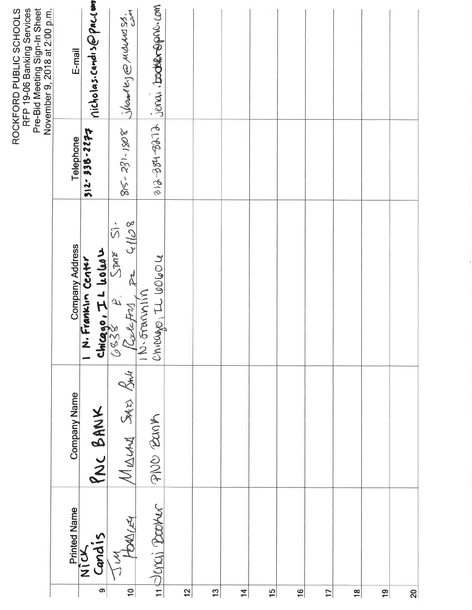|                |                                 |                     |                                                                           |             | RFP 19-06 Banking Services<br>Pre-Bid Meeting Sign-In Sheet<br>November 9, 2018 at 2:00 p.m.<br>ROCKFORD PUBLIC SCHOOLS |
|----------------|---------------------------------|---------------------|---------------------------------------------------------------------------|-------------|-------------------------------------------------------------------------------------------------------------------------|
|                |                                 | <b>Company Name</b> | <b>Company Address</b>                                                    | Telephone   | E-mail                                                                                                                  |
| $\bullet$      | Printed Name<br>Nick<br>Cand is | PNC BANK            | N. Franklin Center                                                        | 212-932-964 | nicholas.candis@pac.com                                                                                                 |
| $\frac{1}{2}$  | I'M<br>HOULEY                   | MIALAND SAIES SALA  |                                                                           | 81-231-1808 | Shoal by @ Multure So.                                                                                                  |
|                | 11 Jenai Booker                 | PNO BONK            | 1 N. Framm<br>Chicago, I Lolud 1<br>CBS8 P. SME 51.<br>Lace from P. C1108 |             | 312-384-3272 Jerry tode com                                                                                             |
| $\overline{2}$ |                                 |                     |                                                                           |             |                                                                                                                         |
| 13             |                                 |                     |                                                                           |             |                                                                                                                         |
| $\overline{4}$ |                                 |                     |                                                                           |             |                                                                                                                         |
| $\frac{15}{1}$ |                                 |                     |                                                                           |             |                                                                                                                         |
| $\frac{6}{1}$  |                                 |                     |                                                                           |             |                                                                                                                         |
| $\overline{1}$ |                                 |                     |                                                                           |             |                                                                                                                         |
| $\frac{8}{1}$  |                                 |                     |                                                                           |             |                                                                                                                         |
| $\frac{9}{5}$  |                                 |                     |                                                                           |             |                                                                                                                         |
| $\frac{1}{2}$  |                                 |                     |                                                                           |             |                                                                                                                         |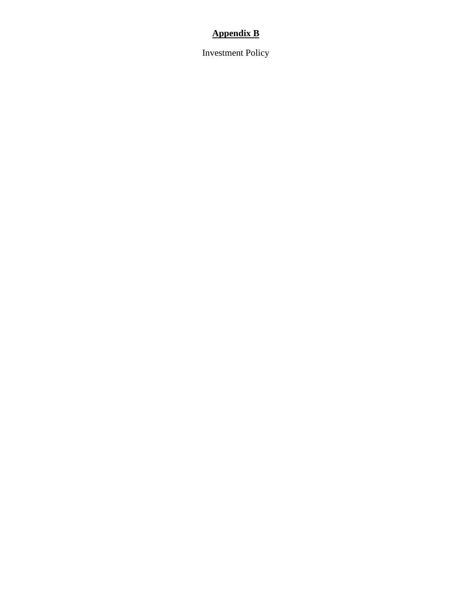### **Appendix B**

Investment Policy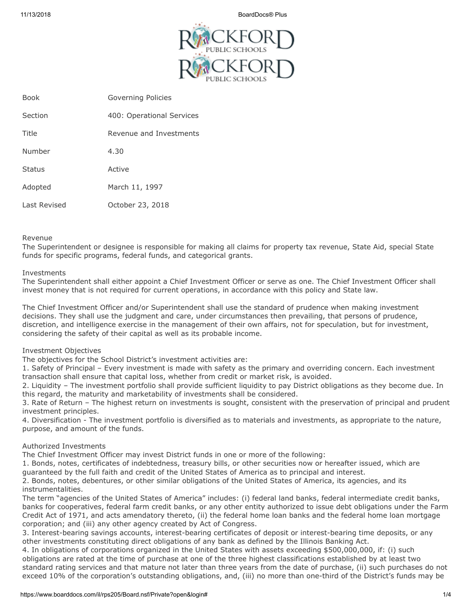11/13/2018 BoardDocs® Plus



| <b>Book</b>  | Governing Policies        |
|--------------|---------------------------|
| Section      | 400: Operational Services |
| Title        | Revenue and Investments   |
| Number       | 4.30                      |
| Status       | Active                    |
| Adopted      | March 11, 1997            |
| Last Revised | October 23, 2018          |

### Revenue

The Superintendent or designee is responsible for making all claims for property tax revenue, State Aid, special State funds for specific programs, federal funds, and categorical grants.

### Investments

The Superintendent shall either appoint a Chief Investment Officer or serve as one. The Chief Investment Officer shall invest money that is not required for current operations, in accordance with this policy and State law.

The Chief Investment Officer and/or Superintendent shall use the standard of prudence when making investment decisions. They shall use the judgment and care, under circumstances then prevailing, that persons of prudence, discretion, and intelligence exercise in the management of their own affairs, not for speculation, but for investment, considering the safety of their capital as well as its probable income.

### Investment Objectives

The objectives for the School District's investment activities are:

1. Safety of Principal – Every investment is made with safety as the primary and overriding concern. Each investment transaction shall ensure that capital loss, whether from credit or market risk, is avoided.

2. Liquidity – The investment portfolio shall provide sufficient liquidity to pay District obligations as they become due. In this regard, the maturity and marketability of investments shall be considered.

3. Rate of Return – The highest return on investments is sought, consistent with the preservation of principal and prudent investment principles.

4. Diversification - The investment portfolio is diversified as to materials and investments, as appropriate to the nature, purpose, and amount of the funds.

### Authorized Investments

The Chief Investment Officer may invest District funds in one or more of the following:

1. Bonds, notes, certificates of indebtedness, treasury bills, or other securities now or hereafter issued, which are guaranteed by the full faith and credit of the United States of America as to principal and interest.

2. Bonds, notes, debentures, or other similar obligations of the United States of America, its agencies, and its instrumentalities.

The term "agencies of the United States of America" includes: (i) federal land banks, federal intermediate credit banks, banks for cooperatives, federal farm credit banks, or any other entity authorized to issue debt obligations under the Farm Credit Act of 1971, and acts amendatory thereto, (ii) the federal home loan banks and the federal home loan mortgage corporation; and (iii) any other agency created by Act of Congress.

3. Interest-bearing savings accounts, interest-bearing certificates of deposit or interest-bearing time deposits, or any other investments constituting direct obligations of any bank as defined by the Illinois Banking Act.

4. In obligations of corporations organized in the United States with assets exceeding \$500,000,000, if: (i) such obligations are rated at the time of purchase at one of the three highest classifications established by at least two standard rating services and that mature not later than three years from the date of purchase, (ii) such purchases do not exceed 10% of the corporation's outstanding obligations, and, (iii) no more than one-third of the District's funds may be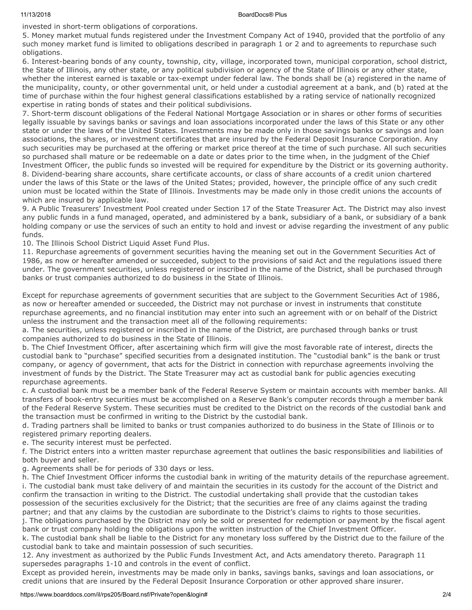### 11/13/2018 BoardDocs® Plus

invested in short-term obligations of corporations.

5. Money market mutual funds registered under the Investment Company Act of 1940, provided that the portfolio of any such money market fund is limited to obligations described in paragraph 1 or 2 and to agreements to repurchase such obligations.

6. Interest-bearing bonds of any county, township, city, village, incorporated town, municipal corporation, school district, the State of Illinois, any other state, or any political subdivision or agency of the State of Illinois or any other state, whether the interest earned is taxable or tax-exempt under federal law. The bonds shall be (a) registered in the name of the municipality, county, or other governmental unit, or held under a custodial agreement at a bank, and (b) rated at the time of purchase within the four highest general classifications established by a rating service of nationally recognized expertise in rating bonds of states and their political subdivisions.

7. Short-term discount obligations of the Federal National Mortgage Association or in shares or other forms of securities legally issuable by savings banks or savings and loan associations incorporated under the laws of this State or any other state or under the laws of the United States. Investments may be made only in those savings banks or savings and loan associations, the shares, or investment certificates that are insured by the Federal Deposit Insurance Corporation. Any such securities may be purchased at the offering or market price thereof at the time of such purchase. All such securities so purchased shall mature or be redeemable on a date or dates prior to the time when, in the judgment of the Chief Investment Officer, the public funds so invested will be required for expenditure by the District or its governing authority. 8. Dividend-bearing share accounts, share certificate accounts, or class of share accounts of a credit union chartered under the laws of this State or the laws of the United States; provided, however, the principle office of any such credit union must be located within the State of Illinois. Investments may be made only in those credit unions the accounts of which are insured by applicable law.

9. A Public Treasurers' Investment Pool created under Section 17 of the State Treasurer Act. The District may also invest any public funds in a fund managed, operated, and administered by a bank, subsidiary of a bank, or subsidiary of a bank holding company or use the services of such an entity to hold and invest or advise regarding the investment of any public funds.

10. The Illinois School District Liquid Asset Fund Plus.

11. Repurchase agreements of government securities having the meaning set out in the Government Securities Act of 1986, as now or hereafter amended or succeeded, subject to the provisions of said Act and the regulations issued there under. The government securities, unless registered or inscribed in the name of the District, shall be purchased through banks or trust companies authorized to do business in the State of Illinois.

Except for repurchase agreements of government securities that are subject to the Government Securities Act of 1986, as now or hereafter amended or succeeded, the District may not purchase or invest in instruments that constitute repurchase agreements, and no financial institution may enter into such an agreement with or on behalf of the District unless the instrument and the transaction meet all of the following requirements:

a. The securities, unless registered or inscribed in the name of the District, are purchased through banks or trust companies authorized to do business in the State of Illinois.

b. The Chief Investment Officer, after ascertaining which firm will give the most favorable rate of interest, directs the custodial bank to "purchase" specified securities from a designated institution. The "custodial bank" is the bank or trust company, or agency of government, that acts for the District in connection with repurchase agreements involving the investment of funds by the District. The State Treasurer may act as custodial bank for public agencies executing repurchase agreements.

c. A custodial bank must be a member bank of the Federal Reserve System or maintain accounts with member banks. All transfers of book-entry securities must be accomplished on a Reserve Bank's computer records through a member bank of the Federal Reserve System. These securities must be credited to the District on the records of the custodial bank and the transaction must be confirmed in writing to the District by the custodial bank.

d. Trading partners shall be limited to banks or trust companies authorized to do business in the State of Illinois or to registered primary reporting dealers.

e. The security interest must be perfected.

f. The District enters into a written master repurchase agreement that outlines the basic responsibilities and liabilities of both buyer and seller.

g. Agreements shall be for periods of 330 days or less.

h. The Chief Investment Officer informs the custodial bank in writing of the maturity details of the repurchase agreement. i. The custodial bank must take delivery of and maintain the securities in its custody for the account of the District and confirm the transaction in writing to the District. The custodial undertaking shall provide that the custodian takes possession of the securities exclusively for the District; that the securities are free of any claims against the trading partner; and that any claims by the custodian are subordinate to the District's claims to rights to those securities. j. The obligations purchased by the District may only be sold or presented for redemption or payment by the fiscal agent bank or trust company holding the obligations upon the written instruction of the Chief Investment Officer.

k. The custodial bank shall be liable to the District for any monetary loss suffered by the District due to the failure of the custodial bank to take and maintain possession of such securities.

12. Any investment as authorized by the Public Funds Investment Act, and Acts amendatory thereto. Paragraph 11 supersedes paragraphs 1-10 and controls in the event of conflict.

Except as provided herein, investments may be made only in banks, savings banks, savings and loan associations, or credit unions that are insured by the Federal Deposit Insurance Corporation or other approved share insurer.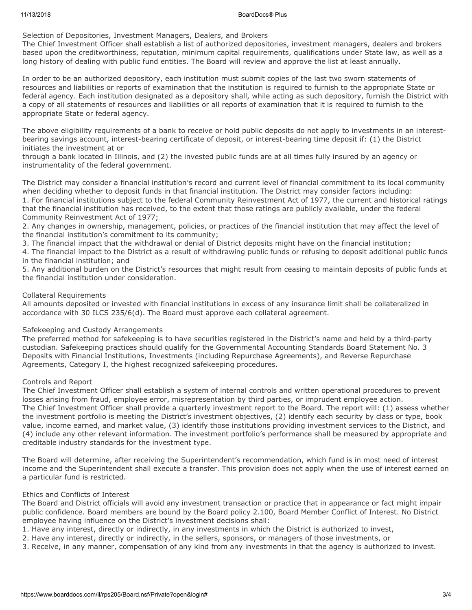Selection of Depositories, Investment Managers, Dealers, and Brokers

The Chief Investment Officer shall establish a list of authorized depositories, investment managers, dealers and brokers based upon the creditworthiness, reputation, minimum capital requirements, qualifications under State law, as well as a long history of dealing with public fund entities. The Board will review and approve the list at least annually.

In order to be an authorized depository, each institution must submit copies of the last two sworn statements of resources and liabilities or reports of examination that the institution is required to furnish to the appropriate State or federal agency. Each institution designated as a depository shall, while acting as such depository, furnish the District with a copy of all statements of resources and liabilities or all reports of examination that it is required to furnish to the appropriate State or federal agency.

The above eligibility requirements of a bank to receive or hold public deposits do not apply to investments in an interestbearing savings account, interest-bearing certificate of deposit, or interest-bearing time deposit if: (1) the District initiates the investment at or

through a bank located in Illinois, and (2) the invested public funds are at all times fully insured by an agency or instrumentality of the federal government.

The District may consider a financial institution's record and current level of financial commitment to its local community when deciding whether to deposit funds in that financial institution. The District may consider factors including: 1. For financial institutions subject to the federal Community Reinvestment Act of 1977, the current and historical ratings that the financial institution has received, to the extent that those ratings are publicly available, under the federal Community Reinvestment Act of 1977;

2. Any changes in ownership, management, policies, or practices of the financial institution that may affect the level of the financial institution's commitment to its community;

3. The financial impact that the withdrawal or denial of District deposits might have on the financial institution;

4. The financial impact to the District as a result of withdrawing public funds or refusing to deposit additional public funds in the financial institution; and

5. Any additional burden on the District's resources that might result from ceasing to maintain deposits of public funds at the financial institution under consideration.

### Collateral Requirements

All amounts deposited or invested with financial institutions in excess of any insurance limit shall be collateralized in accordance with 30 ILCS 235/6(d). The Board must approve each collateral agreement.

### Safekeeping and Custody Arrangements

The preferred method for safekeeping is to have securities registered in the District's name and held by a third-party custodian. Safekeeping practices should qualify for the Governmental Accounting Standards Board Statement No. 3 Deposits with Financial Institutions, Investments (including Repurchase Agreements), and Reverse Repurchase Agreements, Category I, the highest recognized safekeeping procedures.

### Controls and Report

The Chief Investment Officer shall establish a system of internal controls and written operational procedures to prevent losses arising from fraud, employee error, misrepresentation by third parties, or imprudent employee action. The Chief Investment Officer shall provide a quarterly investment report to the Board. The report will: (1) assess whether the investment portfolio is meeting the District's investment objectives, (2) identify each security by class or type, book value, income earned, and market value, (3) identify those institutions providing investment services to the District, and (4) include any other relevant information. The investment portfolio's performance shall be measured by appropriate and creditable industry standards for the investment type.

The Board will determine, after receiving the Superintendent's recommendation, which fund is in most need of interest income and the Superintendent shall execute a transfer. This provision does not apply when the use of interest earned on a particular fund is restricted.

### Ethics and Conflicts of Interest

The Board and District officials will avoid any investment transaction or practice that in appearance or fact might impair public confidence. Board members are bound by the Board policy 2.100, Board Member Conflict of Interest. No District employee having influence on the District's investment decisions shall:

- 1. Have any interest, directly or indirectly, in any investments in which the District is authorized to invest,
- 2. Have any interest, directly or indirectly, in the sellers, sponsors, or managers of those investments, or
- 3. Receive, in any manner, compensation of any kind from any investments in that the agency is authorized to invest.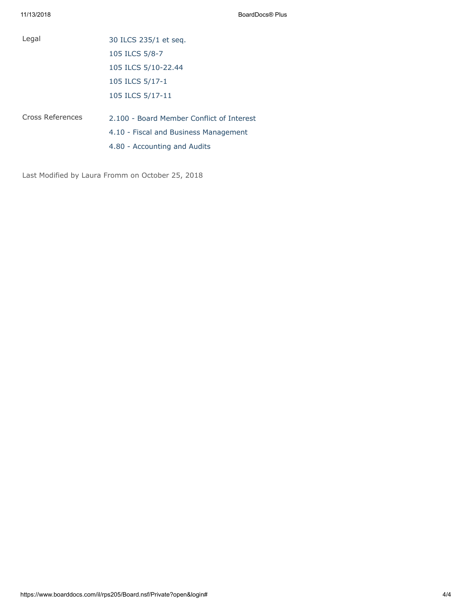| Legal            | 30 ILCS 235/1 et seq.                     |
|------------------|-------------------------------------------|
|                  | 105 ILCS 5/8-7                            |
|                  | 105 ILCS 5/10-22.44                       |
|                  | 105 ILCS 5/17-1                           |
|                  | 105 ILCS 5/17-11                          |
| Cross References | 2.100 - Board Member Conflict of Interest |
|                  | 4.10 - Fiscal and Business Management     |
|                  | 4.80 - Accounting and Audits              |

Last Modified by Laura Fromm on October 25, 2018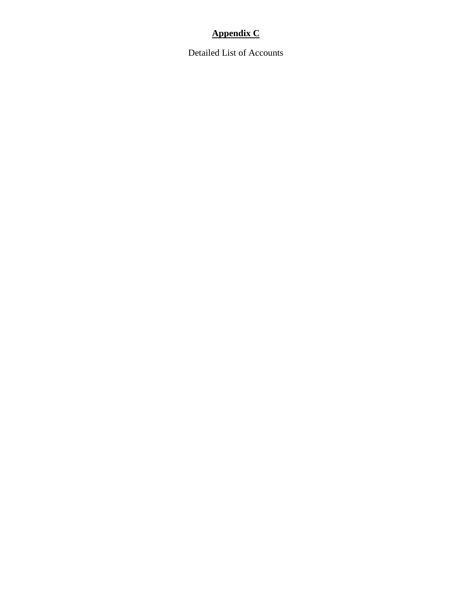### **Appendix C**

Detailed List of Accounts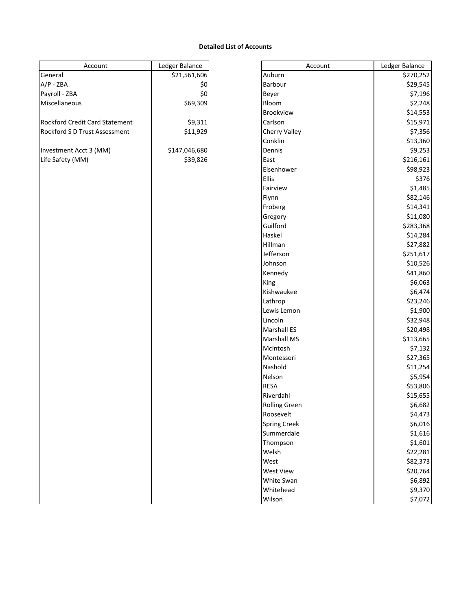### **Detailed List of Accounts**

| Account                        | Ledger Balance |
|--------------------------------|----------------|
| General                        | \$21,561,606   |
| $A/P - ZBA$                    | \$0            |
| Payroll - ZBA                  | \$0            |
| Miscellaneous                  | \$69,309       |
|                                |                |
| Rockford Credit Card Statement | \$9,311        |
| Rockford S D Trust Assessment  | \$11,929       |
|                                |                |
| Investment Acct 3 (MM)         | \$147,046,680  |
| Life Safety (MM)               | \$39,826       |
|                                |                |
|                                |                |
|                                |                |
|                                |                |
|                                |                |
|                                |                |
|                                |                |
|                                |                |
|                                |                |
|                                |                |
|                                |                |
|                                |                |
|                                |                |
|                                |                |
|                                |                |
|                                |                |
|                                |                |
|                                |                |
|                                |                |
|                                |                |
|                                |                |
|                                |                |
|                                |                |
|                                |                |
|                                |                |
|                                |                |
|                                |                |
|                                |                |
|                                |                |
|                                |                |
|                                |                |
|                                |                |
|                                |                |
|                                |                |
|                                |                |
|                                |                |

| Account                        | Ledger Balance | Account              | Ledger Balance |
|--------------------------------|----------------|----------------------|----------------|
| General                        | \$21,561,606   | Auburn               | \$270,252      |
| A/P - ZBA                      | \$0            | Barbour              | \$29,545       |
| Payroll - ZBA                  | \$0            | Beyer                | \$7,196        |
| Miscellaneous                  | \$69,309       | Bloom                | \$2,248        |
|                                |                | Brookview            | \$14,553       |
| Rockford Credit Card Statement | \$9,311        | Carlson              | \$15,971       |
| Rockford S D Trust Assessment  | \$11,929       | <b>Cherry Valley</b> | \$7,356        |
|                                |                | Conklin              | \$13,360       |
| Investment Acct 3 (MM)         | \$147,046,680  | Dennis               | \$9,253        |
| Life Safety (MM)               | \$39,826       | East                 | \$216,161      |
|                                |                | Eisenhower           | \$98,923       |
|                                |                | <b>Ellis</b>         | \$376          |
|                                |                | Fairview             | \$1,485        |
|                                |                | Flynn                | \$82,146       |
|                                |                | Froberg              | \$14,341       |
|                                |                | Gregory              | \$11,080       |
|                                |                | Guilford             | \$283,368      |
|                                |                | Haskel               | \$14,284       |
|                                |                | Hillman              | \$27,882       |
|                                |                | Jefferson            | \$251,617      |
|                                |                | Johnson              | \$10,526       |
|                                |                | Kennedy              | \$41,860       |
|                                |                | King                 | \$6,063        |
|                                |                | Kishwaukee           | \$6,474        |
|                                |                | Lathrop              | \$23,246       |
|                                |                | Lewis Lemon          | \$1,900        |
|                                |                | Lincoln              | \$32,948       |
|                                |                | <b>Marshall ES</b>   | \$20,498       |
|                                |                | <b>Marshall MS</b>   | \$113,665      |
|                                |                | McIntosh             | \$7,132        |
|                                |                | Montessori           | \$27,365       |
|                                |                | Nashold              | \$11,254       |
|                                |                | Nelson               | \$5,954        |
|                                |                | <b>RESA</b>          | \$53,806       |
|                                |                | Riverdahl            | \$15,655       |
|                                |                | <b>Rolling Green</b> | \$6,682        |
|                                |                | Roosevelt            | \$4,473        |
|                                |                | <b>Spring Creek</b>  | \$6,016        |
|                                |                | Summerdale           | \$1,616        |
|                                |                | Thompson             | \$1,601        |
|                                |                | Welsh                | \$22,281       |
|                                |                | West                 | \$82,373       |
|                                |                | West View            | \$20,764       |
|                                |                | White Swan           | \$6,892        |
|                                |                | Whitehead            | \$9,370        |
|                                |                | Wilson               | \$7,072        |
|                                |                |                      |                |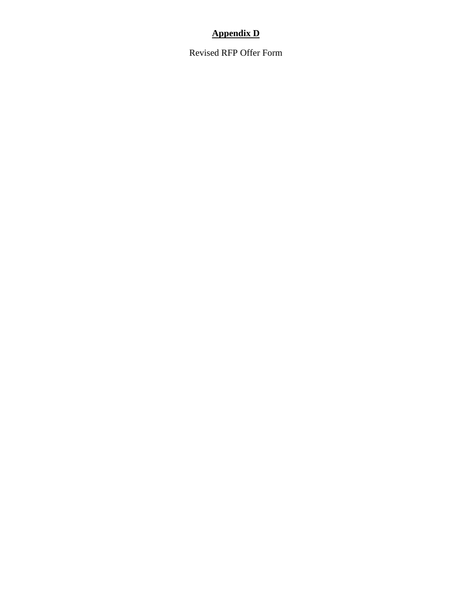### **Appendix D**

Revised RFP Offer Form